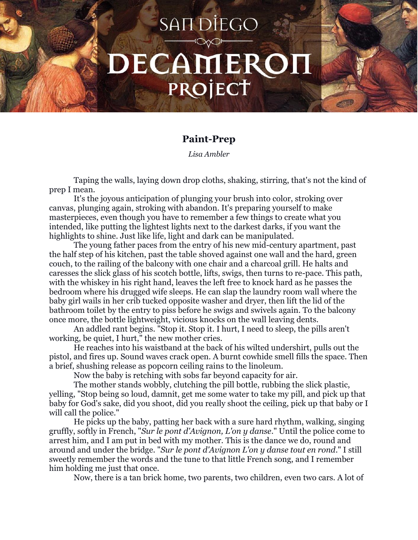## **SANDIEGO** DECAMEROI PROJECT

## **Paint-Prep**

*Lisa Ambler*

Taping the walls, laying down drop cloths, shaking, stirring, that's not the kind of prep I mean.

It's the joyous anticipation of plunging your brush into color, stroking over canvas, plunging again, stroking with abandon. It's preparing yourself to make masterpieces, even though you have to remember a few things to create what you intended, like putting the lightest lights next to the darkest darks, if you want the highlights to shine. Just like life, light and dark can be manipulated.

The young father paces from the entry of his new mid-century apartment, past the half step of his kitchen, past the table shoved against one wall and the hard, green couch, to the railing of the balcony with one chair and a charcoal grill. He halts and caresses the slick glass of his scotch bottle, lifts, swigs, then turns to re-pace. This path, with the whiskey in his right hand, leaves the left free to knock hard as he passes the bedroom where his drugged wife sleeps. He can slap the laundry room wall where the baby girl wails in her crib tucked opposite washer and dryer, then lift the lid of the bathroom toilet by the entry to piss before he swigs and swivels again. To the balcony once more, the bottle lightweight, vicious knocks on the wall leaving dents.

An addled rant begins. "Stop it. Stop it. I hurt, I need to sleep, the pills aren't working, be quiet, I hurt," the new mother cries.

He reaches into his waistband at the back of his wilted undershirt, pulls out the pistol, and fires up. Sound waves crack open. A burnt cowhide smell fills the space. Then a brief, shushing release as popcorn ceiling rains to the linoleum.

Now the baby is retching with sobs far beyond capacity for air.

The mother stands wobbly, clutching the pill bottle, rubbing the slick plastic, yelling, "Stop being so loud, damnit, get me some water to take my pill, and pick up that baby for God's sake, did you shoot, did you really shoot the ceiling, pick up that baby or I will call the police."

He picks up the baby, patting her back with a sure hard rhythm, walking, singing gruffly, softly in French, "*Sur le pont d'Avignon, L'on y danse*." Until the police come to arrest him, and I am put in bed with my mother. This is the dance we do, round and around and under the bridge. "*Sur le pont d'Avignon L'on y danse tout en rond*." I still sweetly remember the words and the tune to that little French song, and I remember him holding me just that once.

Now, there is a tan brick home, two parents, two children, even two cars. A lot of